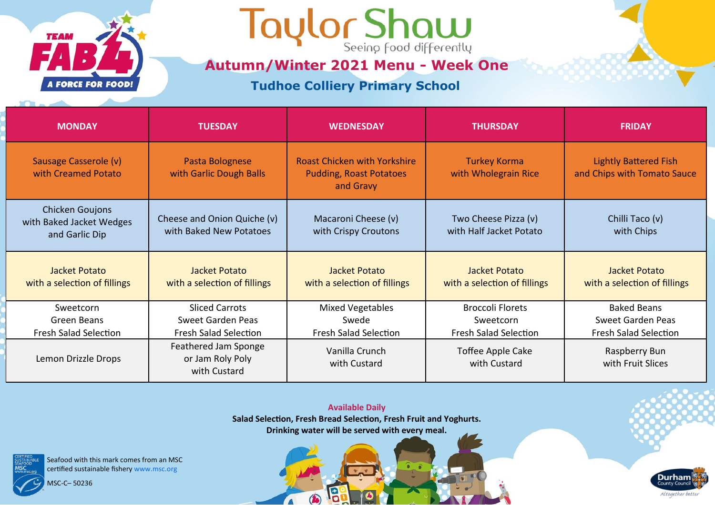

### Taylor Shaw

**Autumn/Winter 2021 Menu - Week One**

**Tudhoe Colliery Primary School** 

| <b>MONDAY</b>                                                        | <b>TUESDAY</b>                                                                    | <b>WEDNESDAY</b>                                                                   | <b>THURSDAY</b>                                                      | <b>FRIDAY</b>                                                           |
|----------------------------------------------------------------------|-----------------------------------------------------------------------------------|------------------------------------------------------------------------------------|----------------------------------------------------------------------|-------------------------------------------------------------------------|
| Sausage Casserole (v)<br>with Creamed Potato                         | Pasta Bolognese<br>with Garlic Dough Balls                                        | <b>Roast Chicken with Yorkshire</b><br><b>Pudding, Roast Potatoes</b><br>and Gravy | <b>Turkey Korma</b><br>with Wholegrain Rice                          | <b>Lightly Battered Fish</b><br>and Chips with Tomato Sauce             |
| <b>Chicken Goujons</b><br>with Baked Jacket Wedges<br>and Garlic Dip | Cheese and Onion Quiche (v)<br>with Baked New Potatoes                            | Macaroni Cheese (v)<br>with Crispy Croutons                                        | Two Cheese Pizza (v)<br>with Half Jacket Potato                      | Chilli Taco (v)<br>with Chips                                           |
| Jacket Potato<br>with a selection of fillings                        | Jacket Potato<br>with a selection of fillings                                     | Jacket Potato<br>with a selection of fillings                                      | Jacket Potato<br>with a selection of fillings                        | Jacket Potato<br>with a selection of fillings                           |
| Sweetcorn<br>Green Beans<br><b>Fresh Salad Selection</b>             | <b>Sliced Carrots</b><br><b>Sweet Garden Peas</b><br><b>Fresh Salad Selection</b> | <b>Mixed Vegetables</b><br>Swede<br><b>Fresh Salad Selection</b>                   | <b>Broccoli Florets</b><br>Sweetcorn<br><b>Fresh Salad Selection</b> | <b>Baked Beans</b><br>Sweet Garden Peas<br><b>Fresh Salad Selection</b> |
| Lemon Drizzle Drops                                                  | Feathered Jam Sponge<br>or Jam Roly Poly<br>with Custard                          | Vanilla Crunch<br>with Custard                                                     | Toffee Apple Cake<br>with Custard                                    | Raspberry Bun<br>with Fruit Slices                                      |

**Available Daily Salad Selection, Fresh Bread Selection, Fresh Fruit and Yoghurts. Drinking water will be served with every meal.** 

13

 $\bigcirc$ 

 $\sqrt{2}$ 

**Durham** 

Altogether better

Seafood with this mark comes from an MSC certified sustainable fishery www.msc.org

MSC-C– 50236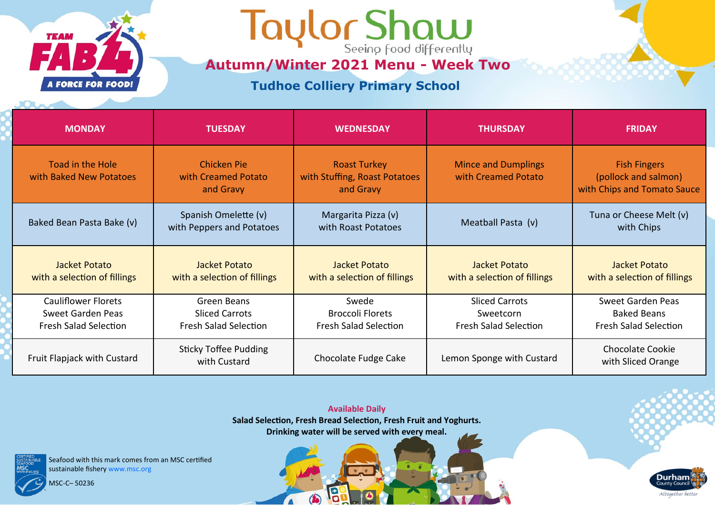

Taylor Shaw

**Autumn/Winter 2021 Menu - Week Two**

#### **Tudhoe Colliery Primary School**

| <b>MONDAY</b>                                                                   | <b>TUESDAY</b>                                                       | <b>WEDNESDAY</b>                                                  | <b>THURSDAY</b>                                                    | <b>FRIDAY</b>                                                                  |
|---------------------------------------------------------------------------------|----------------------------------------------------------------------|-------------------------------------------------------------------|--------------------------------------------------------------------|--------------------------------------------------------------------------------|
| <b>Toad in the Hole</b><br>with Baked New Potatoes                              | <b>Chicken Pie</b><br>with Creamed Potato<br>and Gravy               | <b>Roast Turkey</b><br>with Stuffing, Roast Potatoes<br>and Gravy | <b>Mince and Dumplings</b><br>with Creamed Potato                  | <b>Fish Fingers</b><br>(pollock and salmon)<br>with Chips and Tomato Sauce     |
| Baked Bean Pasta Bake (v)                                                       | Spanish Omelette (v)<br>with Peppers and Potatoes                    | Margarita Pizza (v)<br>with Roast Potatoes                        | Meatball Pasta (v)                                                 | Tuna or Cheese Melt (v)<br>with Chips                                          |
| Jacket Potato<br>with a selection of fillings                                   | Jacket Potato<br>with a selection of fillings                        | Jacket Potato<br>with a selection of fillings                     | Jacket Potato<br>with a selection of fillings                      | Jacket Potato<br>with a selection of fillings                                  |
| <b>Cauliflower Florets</b><br>Sweet Garden Peas<br><b>Fresh Salad Selection</b> | Green Beans<br><b>Sliced Carrots</b><br><b>Fresh Salad Selection</b> | Swede<br><b>Broccoli Florets</b><br><b>Fresh Salad Selection</b>  | <b>Sliced Carrots</b><br>Sweetcorn<br><b>Fresh Salad Selection</b> | <b>Sweet Garden Peas</b><br><b>Baked Beans</b><br><b>Fresh Salad Selection</b> |
| Fruit Flapjack with Custard                                                     | <b>Sticky Toffee Pudding</b><br>with Custard                         | Chocolate Fudge Cake                                              | Lemon Sponge with Custard                                          | <b>Chocolate Cookie</b><br>with Sliced Orange                                  |

**Available Daily Salad Selection, Fresh Bread Selection, Fresh Fruit and Yoghurts. Drinking water will be served with every meal.** 

19

 $\bigcirc$ 

 $\sqrt{ }$ 

Seafood with this mark comes from an MSC certified sustainable fishery www.msc.org

MSC-C– 50236

**Durham** Altogether better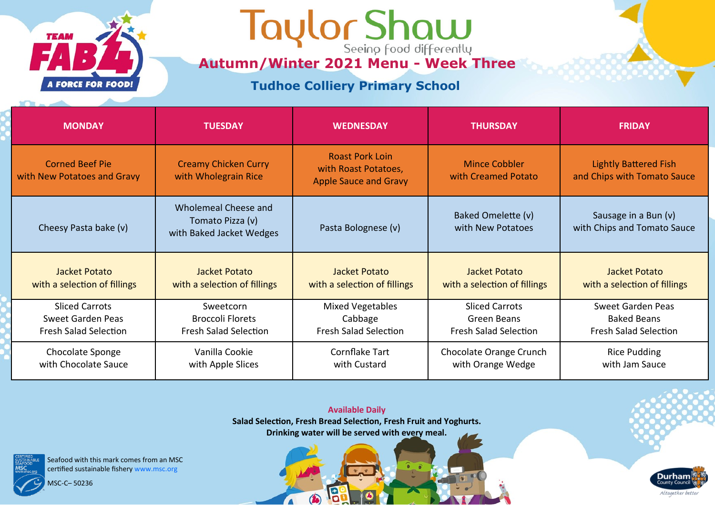

## **Autumn/Winter 2021 Menu - Week Three**

### **Tudhoe Colliery Primary School**

| <b>MONDAY</b>                                         | <b>TUESDAY</b>                                                       | <b>WEDNESDAY</b>                                                               | <b>THURSDAY</b>                             | <b>FRIDAY</b>                                               |
|-------------------------------------------------------|----------------------------------------------------------------------|--------------------------------------------------------------------------------|---------------------------------------------|-------------------------------------------------------------|
| <b>Corned Beef Pie</b><br>with New Potatoes and Gravy | <b>Creamy Chicken Curry</b><br>with Wholegrain Rice                  | <b>Roast Pork Loin</b><br>with Roast Potatoes,<br><b>Apple Sauce and Gravy</b> | <b>Mince Cobbler</b><br>with Creamed Potato | <b>Lightly Battered Fish</b><br>and Chips with Tomato Sauce |
| Cheesy Pasta bake (v)                                 | Wholemeal Cheese and<br>Tomato Pizza (v)<br>with Baked Jacket Wedges | Pasta Bolognese (v)                                                            | Baked Omelette (v)<br>with New Potatoes     | Sausage in a Bun (v)<br>with Chips and Tomato Sauce         |
| Jacket Potato                                         | Jacket Potato                                                        | Jacket Potato                                                                  | Jacket Potato                               | Jacket Potato                                               |
| with a selection of fillings                          | with a selection of fillings                                         | with a selection of fillings                                                   | with a selection of fillings                | with a selection of fillings                                |
| <b>Sliced Carrots</b>                                 | Sweetcorn                                                            | <b>Mixed Vegetables</b>                                                        | <b>Sliced Carrots</b>                       | <b>Sweet Garden Peas</b>                                    |
| Sweet Garden Peas                                     | <b>Broccoli Florets</b>                                              | Cabbage                                                                        | Green Beans                                 | <b>Baked Beans</b>                                          |
| <b>Fresh Salad Selection</b>                          | <b>Fresh Salad Selection</b>                                         | <b>Fresh Salad Selection</b>                                                   | <b>Fresh Salad Selection</b>                | <b>Fresh Salad Selection</b>                                |
| Chocolate Sponge                                      | Vanilla Cookie                                                       | Cornflake Tart                                                                 | Chocolate Orange Crunch                     | <b>Rice Pudding</b>                                         |
| with Chocolate Sauce                                  | with Apple Slices                                                    | with Custard                                                                   | with Orange Wedge                           | with Jam Sauce                                              |

**Available Daily Salad Selection, Fresh Bread Selection, Fresh Fruit and Yoghurts. Drinking water will be served with every meal.** 

13

 $\bigcirc$ 

 $\sqrt{2}$ 

Seafood with this mark comes from an MSC certified sustainable fishery www.msc.org

MSC-C– 50236



Durham County Council

Altogether better